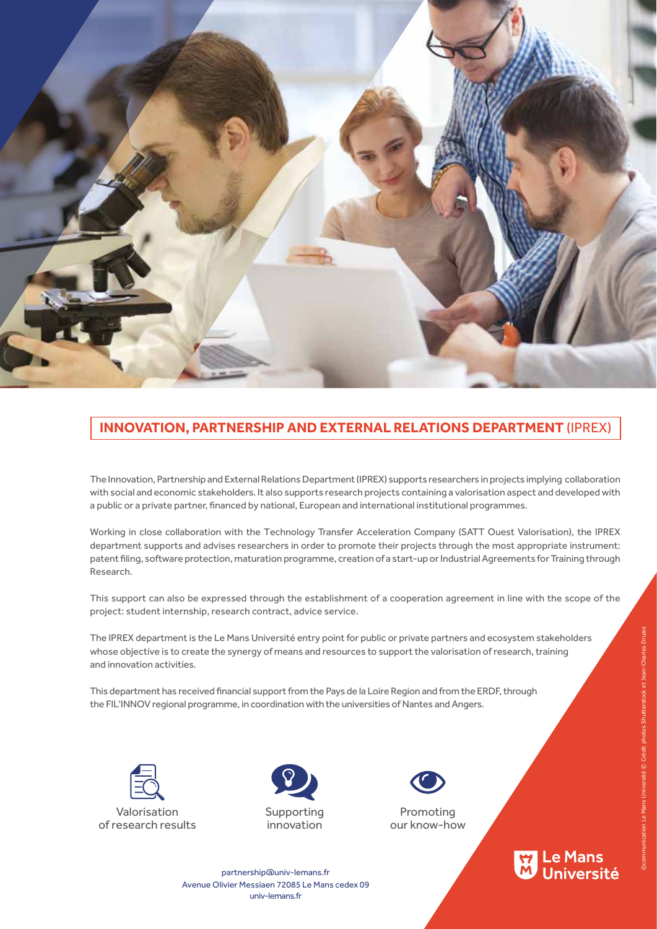

## **INNOVATION, PARTNERSHIP AND EXTERNAL RELATIONS DEPARTMENT** (IPREX)

The Innovation, Partnership and External Relations Department (IPREX) supports researchers in projects implying collaboration with social and economic stakeholders. It also supports research projects containing a valorisation aspect and developed with a public or a private partner, financed by national, European and international institutional programmes.

Working in close collaboration with the Technology Transfer Acceleration Company (SATT Ouest Valorisation), the IPREX department supports and advises researchers in order to promote their projects through the most appropriate instrument: patent filing, software protection, maturation programme, creation of a start-up or Industrial Agreements for Training through Research.

This support can also be expressed through the establishment of a cooperation agreement in line with the scope of the project: student internship, research contract, advice service.

The IPREX department is the Le Mans Université entry point for public or private partners and ecosystem stakeholders whose objective is to create the synergy of means and resources to support the valorisation of research, training and innovation activities.

This department has received financial support from the Pays de la Loire Region and from the ERDF, through the FIL'INNOV regional programme, in coordination with the universities of Nantes and Angers.







Promoting our know-how

<mark>W</mark> Le Mans<br>M Université

partnership@univ-lemans.fr univ-lemans.fr Avenue Olivier Messiaen 72085 Le Mans cedex 09